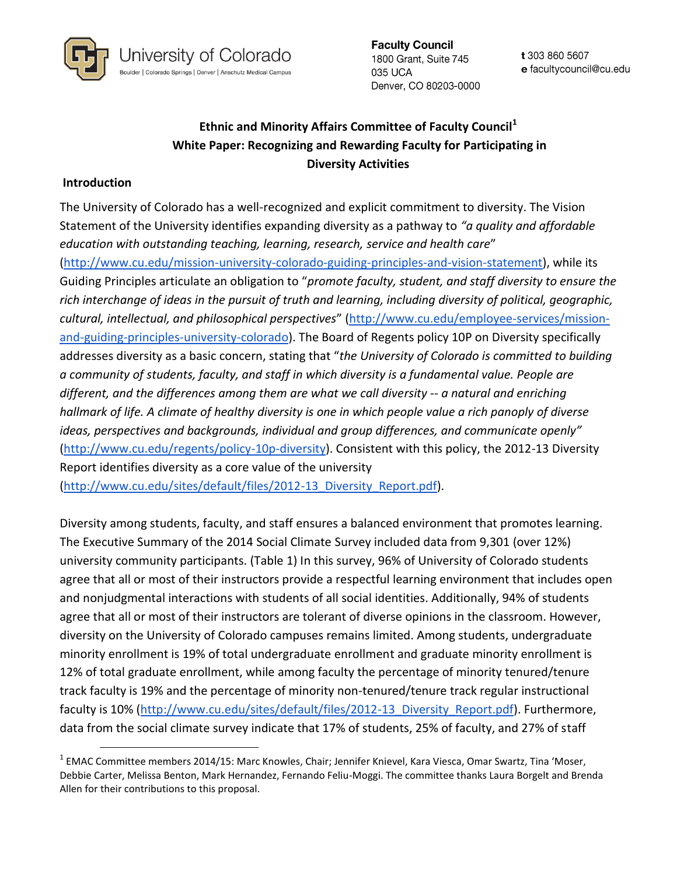

**Faculty Council** 1800 Grant, Suite 745 035 UCA Denver, CO 80203-0000

t 303 860 5607 e facultycouncil@cu.edu

# **Ethnic and Minority Affairs Committee of Faculty Council<sup>1</sup> White Paper: Recognizing and Rewarding Faculty for Participating in Diversity Activities**

#### **Introduction**

 $\overline{\phantom{a}}$ 

The University of Colorado has a well-recognized and explicit commitment to diversity. The Vision Statement of the University identifies expanding diversity as a pathway to *"a quality and affordable education with outstanding teaching, learning, research, service and health care*" [\(http://www.cu.edu/mission-university-colorado-guiding-principles-and-vision-statement\)](http://www.cu.edu/mission-university-colorado-guiding-principles-and-vision-statement), while its Guiding Principles articulate an obligation to "*promote faculty, student, and staff diversity to ensure the rich interchange of ideas in the pursuit of truth and learning, including diversity of political, geographic, cultural, intellectual, and philosophical perspectives*" ([http://www.cu.edu/employee-services/mission](http://www.cu.edu/employee-services/mission-and-guiding-principles-university-colorado)[and-guiding-principles-university-colorado\)](http://www.cu.edu/employee-services/mission-and-guiding-principles-university-colorado). The Board of Regents policy 10P on Diversity specifically addresses diversity as a basic concern, stating that "*the University of Colorado is committed to building a community of students, faculty, and staff in which diversity is a fundamental value. People are different, and the differences among them are what we call diversity -- a natural and enriching hallmark of life. A climate of healthy diversity is one in which people value a rich panoply of diverse ideas, perspectives and backgrounds, individual and group differences, and communicate openly"* [\(http://www.cu.edu/regents/policy-10p-diversity\)](http://www.cu.edu/regents/policy-10p-diversity). Consistent with this policy, the 2012-13 Diversity Report identifies diversity as a core value of the university (http://www.cu.edu/sites/default/files/2012-13 Diversity Report.pdf).

Diversity among students, faculty, and staff ensures a balanced environment that promotes learning. The Executive Summary of the 2014 Social Climate Survey included data from 9,301 (over 12%) university community participants. (Table 1) In this survey, 96% of University of Colorado students agree that all or most of their instructors provide a respectful learning environment that includes open and nonjudgmental interactions with students of all social identities. Additionally, 94% of students agree that all or most of their instructors are tolerant of diverse opinions in the classroom. However, diversity on the University of Colorado campuses remains limited. Among students, undergraduate minority enrollment is 19% of total undergraduate enrollment and graduate minority enrollment is 12% of total graduate enrollment, while among faculty the percentage of minority tenured/tenure track faculty is 19% and the percentage of minority non-tenured/tenure track regular instructional faculty is 10% [\(http://www.cu.edu/sites/default/files/2012-13\\_Diversity\\_Report.pdf\)](http://www.cu.edu/sites/default/files/2012-13_Diversity_Report.pdf). Furthermore, data from the social climate survey indicate that 17% of students, 25% of faculty, and 27% of staff

<sup>&</sup>lt;sup>1</sup> EMAC Committee members 2014/15: Marc Knowles, Chair; Jennifer Knievel, Kara Viesca, Omar Swartz, Tina 'Moser, Debbie Carter, Melissa Benton, Mark Hernandez, Fernando Feliu-Moggi. The committee thanks Laura Borgelt and Brenda Allen for their contributions to this proposal.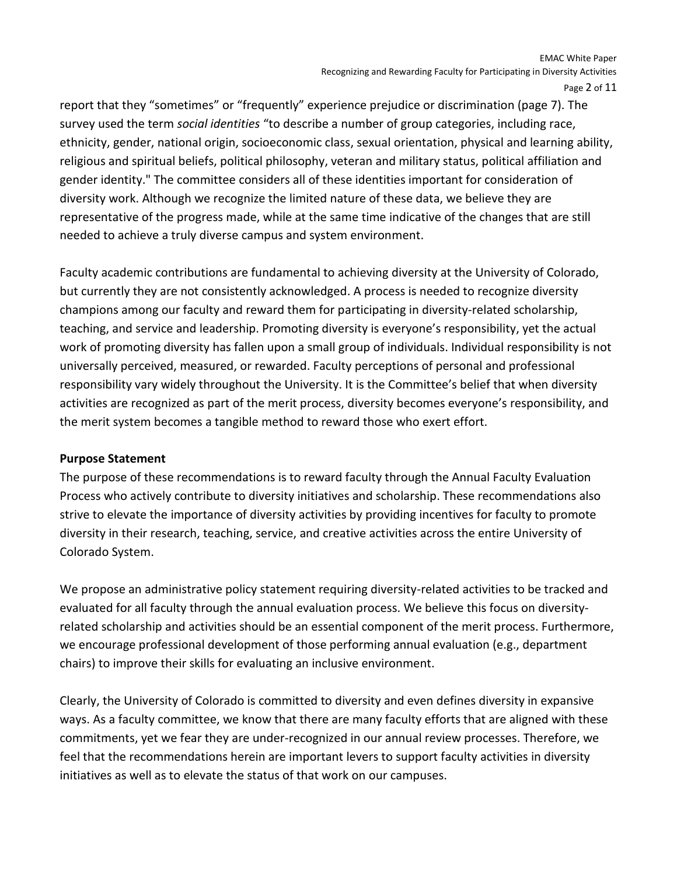report that they "sometimes" or "frequently" experience prejudice or discrimination (page 7). The survey used the term *social identities* "to describe a number of group categories, including race, ethnicity, gender, national origin, socioeconomic class, sexual orientation, physical and learning ability, religious and spiritual beliefs, political philosophy, veteran and military status, political affiliation and gender identity." The committee considers all of these identities important for consideration of diversity work. Although we recognize the limited nature of these data, we believe they are representative of the progress made, while at the same time indicative of the changes that are still needed to achieve a truly diverse campus and system environment.

Faculty academic contributions are fundamental to achieving diversity at the University of Colorado, but currently they are not consistently acknowledged. A process is needed to recognize diversity champions among our faculty and reward them for participating in diversity-related scholarship, teaching, and service and leadership. Promoting diversity is everyone's responsibility, yet the actual work of promoting diversity has fallen upon a small group of individuals. Individual responsibility is not universally perceived, measured, or rewarded. Faculty perceptions of personal and professional responsibility vary widely throughout the University. It is the Committee's belief that when diversity activities are recognized as part of the merit process, diversity becomes everyone's responsibility, and the merit system becomes a tangible method to reward those who exert effort.

#### **Purpose Statement**

The purpose of these recommendations is to reward faculty through the Annual Faculty Evaluation Process who actively contribute to diversity initiatives and scholarship. These recommendations also strive to elevate the importance of diversity activities by providing incentives for faculty to promote diversity in their research, teaching, service, and creative activities across the entire University of Colorado System.

We propose an administrative policy statement requiring diversity-related activities to be tracked and evaluated for all faculty through the annual evaluation process. We believe this focus on diversityrelated scholarship and activities should be an essential component of the merit process. Furthermore, we encourage professional development of those performing annual evaluation (e.g., department chairs) to improve their skills for evaluating an inclusive environment.

Clearly, the University of Colorado is committed to diversity and even defines diversity in expansive ways. As a faculty committee, we know that there are many faculty efforts that are aligned with these commitments, yet we fear they are under-recognized in our annual review processes. Therefore, we feel that the recommendations herein are important levers to support faculty activities in diversity initiatives as well as to elevate the status of that work on our campuses.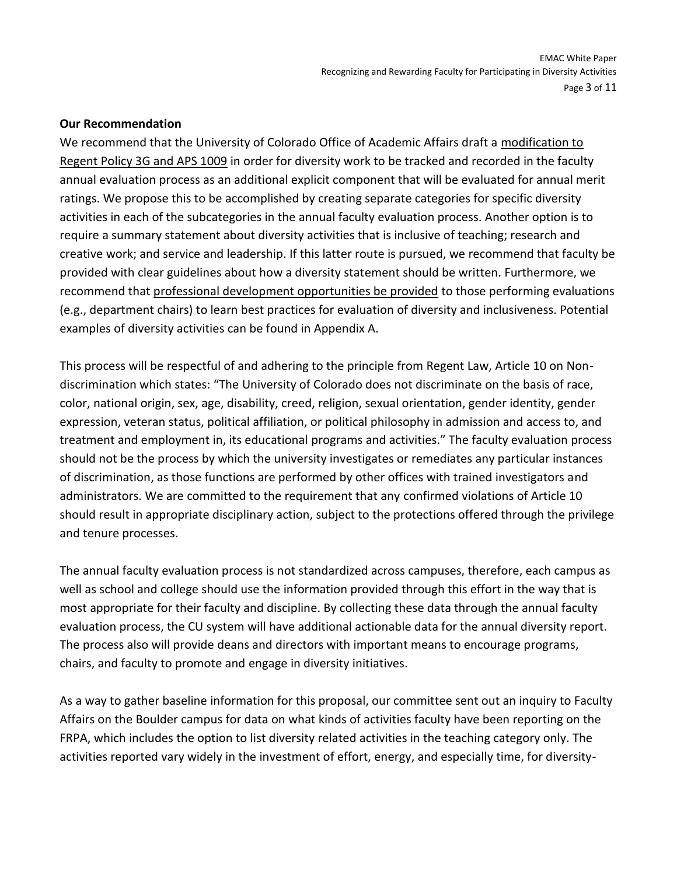#### **Our Recommendation**

We recommend that the University of Colorado Office of Academic Affairs draft a modification to Regent Policy 3G and APS 1009 in order for diversity work to be tracked and recorded in the faculty annual evaluation process as an additional explicit component that will be evaluated for annual merit ratings. We propose this to be accomplished by creating separate categories for specific diversity activities in each of the subcategories in the annual faculty evaluation process. Another option is to require a summary statement about diversity activities that is inclusive of teaching; research and creative work; and service and leadership. If this latter route is pursued, we recommend that faculty be provided with clear guidelines about how a diversity statement should be written. Furthermore, we recommend that professional development opportunities be provided to those performing evaluations (e.g., department chairs) to learn best practices for evaluation of diversity and inclusiveness. Potential examples of diversity activities can be found in Appendix A.

This process will be respectful of and adhering to the principle from Regent Law, Article 10 on Nondiscrimination which states: "The University of Colorado does not discriminate on the basis of race, color, national origin, sex, age, disability, creed, religion, sexual orientation, gender identity, gender expression, veteran status, political affiliation, or political philosophy in admission and access to, and treatment and employment in, its educational programs and activities." The faculty evaluation process should not be the process by which the university investigates or remediates any particular instances of discrimination, as those functions are performed by other offices with trained investigators and administrators. We are committed to the requirement that any confirmed violations of Article 10 should result in appropriate disciplinary action, subject to the protections offered through the privilege and tenure processes.

The annual faculty evaluation process is not standardized across campuses, therefore, each campus as well as school and college should use the information provided through this effort in the way that is most appropriate for their faculty and discipline. By collecting these data through the annual faculty evaluation process, the CU system will have additional actionable data for the annual diversity report. The process also will provide deans and directors with important means to encourage programs, chairs, and faculty to promote and engage in diversity initiatives.

As a way to gather baseline information for this proposal, our committee sent out an inquiry to Faculty Affairs on the Boulder campus for data on what kinds of activities faculty have been reporting on the FRPA, which includes the option to list diversity related activities in the teaching category only. The activities reported vary widely in the investment of effort, energy, and especially time, for diversity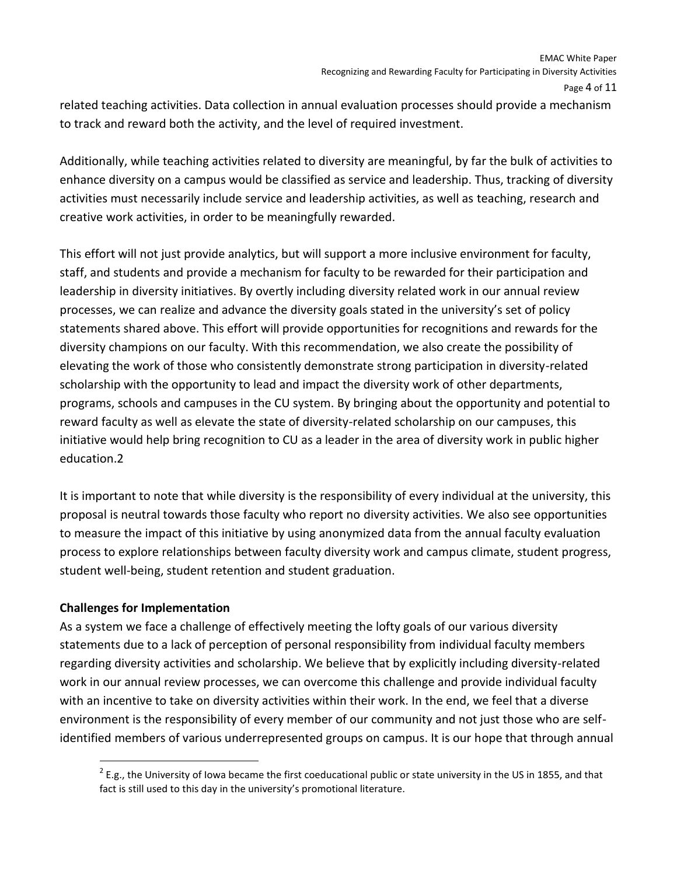related teaching activities. Data collection in annual evaluation processes should provide a mechanism to track and reward both the activity, and the level of required investment.

Additionally, while teaching activities related to diversity are meaningful, by far the bulk of activities to enhance diversity on a campus would be classified as service and leadership. Thus, tracking of diversity activities must necessarily include service and leadership activities, as well as teaching, research and creative work activities, in order to be meaningfully rewarded.

This effort will not just provide analytics, but will support a more inclusive environment for faculty, staff, and students and provide a mechanism for faculty to be rewarded for their participation and leadership in diversity initiatives. By overtly including diversity related work in our annual review processes, we can realize and advance the diversity goals stated in the university's set of policy statements shared above. This effort will provide opportunities for recognitions and rewards for the diversity champions on our faculty. With this recommendation, we also create the possibility of elevating the work of those who consistently demonstrate strong participation in diversity-related scholarship with the opportunity to lead and impact the diversity work of other departments, programs, schools and campuses in the CU system. By bringing about the opportunity and potential to reward faculty as well as elevate the state of diversity-related scholarship on our campuses, this initiative would help bring recognition to CU as a leader in the area of diversity work in public higher education.2

It is important to note that while diversity is the responsibility of every individual at the university, this proposal is neutral towards those faculty who report no diversity activities. We also see opportunities to measure the impact of this initiative by using anonymized data from the annual faculty evaluation process to explore relationships between faculty diversity work and campus climate, student progress, student well-being, student retention and student graduation.

## **Challenges for Implementation**

 $\overline{\phantom{a}}$ 

As a system we face a challenge of effectively meeting the lofty goals of our various diversity statements due to a lack of perception of personal responsibility from individual faculty members regarding diversity activities and scholarship. We believe that by explicitly including diversity-related work in our annual review processes, we can overcome this challenge and provide individual faculty with an incentive to take on diversity activities within their work. In the end, we feel that a diverse environment is the responsibility of every member of our community and not just those who are selfidentified members of various underrepresented groups on campus. It is our hope that through annual

 $2$  E.g., the University of Iowa became the first coeducational public or state university in the US in 1855, and that fact is still used to this day in the university's promotional literature.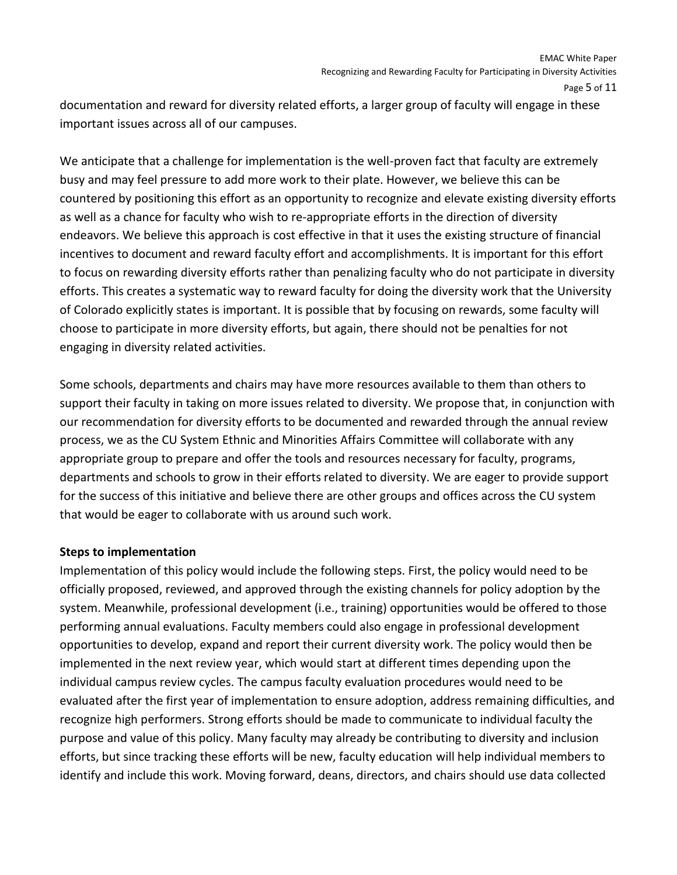documentation and reward for diversity related efforts, a larger group of faculty will engage in these important issues across all of our campuses.

We anticipate that a challenge for implementation is the well-proven fact that faculty are extremely busy and may feel pressure to add more work to their plate. However, we believe this can be countered by positioning this effort as an opportunity to recognize and elevate existing diversity efforts as well as a chance for faculty who wish to re-appropriate efforts in the direction of diversity endeavors. We believe this approach is cost effective in that it uses the existing structure of financial incentives to document and reward faculty effort and accomplishments. It is important for this effort to focus on rewarding diversity efforts rather than penalizing faculty who do not participate in diversity efforts. This creates a systematic way to reward faculty for doing the diversity work that the University of Colorado explicitly states is important. It is possible that by focusing on rewards, some faculty will choose to participate in more diversity efforts, but again, there should not be penalties for not engaging in diversity related activities.

Some schools, departments and chairs may have more resources available to them than others to support their faculty in taking on more issues related to diversity. We propose that, in conjunction with our recommendation for diversity efforts to be documented and rewarded through the annual review process, we as the CU System Ethnic and Minorities Affairs Committee will collaborate with any appropriate group to prepare and offer the tools and resources necessary for faculty, programs, departments and schools to grow in their efforts related to diversity. We are eager to provide support for the success of this initiative and believe there are other groups and offices across the CU system that would be eager to collaborate with us around such work.

## **Steps to implementation**

Implementation of this policy would include the following steps. First, the policy would need to be officially proposed, reviewed, and approved through the existing channels for policy adoption by the system. Meanwhile, professional development (i.e., training) opportunities would be offered to those performing annual evaluations. Faculty members could also engage in professional development opportunities to develop, expand and report their current diversity work. The policy would then be implemented in the next review year, which would start at different times depending upon the individual campus review cycles. The campus faculty evaluation procedures would need to be evaluated after the first year of implementation to ensure adoption, address remaining difficulties, and recognize high performers. Strong efforts should be made to communicate to individual faculty the purpose and value of this policy. Many faculty may already be contributing to diversity and inclusion efforts, but since tracking these efforts will be new, faculty education will help individual members to identify and include this work. Moving forward, deans, directors, and chairs should use data collected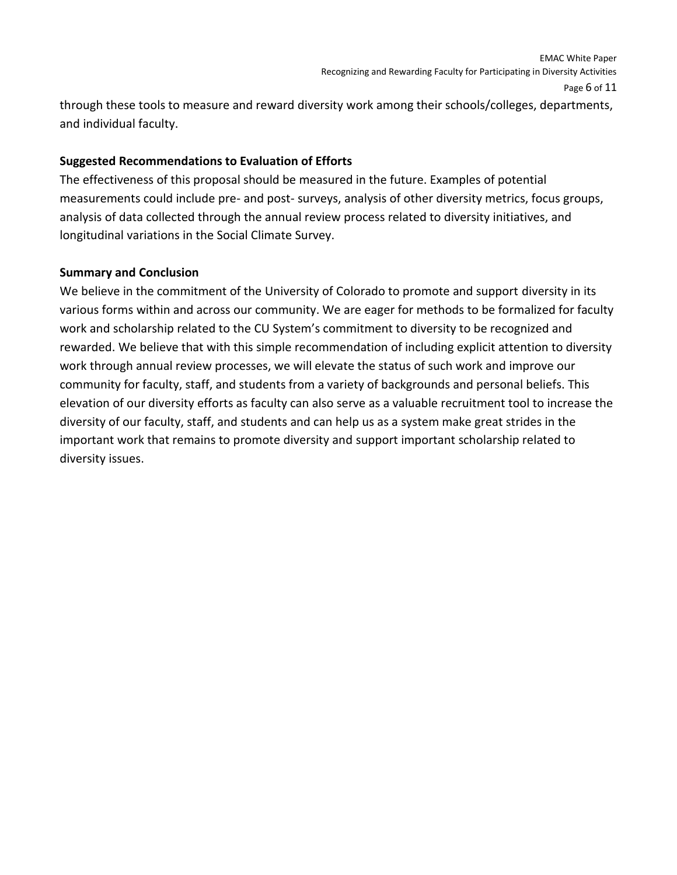through these tools to measure and reward diversity work among their schools/colleges, departments, and individual faculty.

## **Suggested Recommendations to Evaluation of Efforts**

The effectiveness of this proposal should be measured in the future. Examples of potential measurements could include pre- and post- surveys, analysis of other diversity metrics, focus groups, analysis of data collected through the annual review process related to diversity initiatives, and longitudinal variations in the Social Climate Survey.

#### **Summary and Conclusion**

We believe in the commitment of the University of Colorado to promote and support diversity in its various forms within and across our community. We are eager for methods to be formalized for faculty work and scholarship related to the CU System's commitment to diversity to be recognized and rewarded. We believe that with this simple recommendation of including explicit attention to diversity work through annual review processes, we will elevate the status of such work and improve our community for faculty, staff, and students from a variety of backgrounds and personal beliefs. This elevation of our diversity efforts as faculty can also serve as a valuable recruitment tool to increase the diversity of our faculty, staff, and students and can help us as a system make great strides in the important work that remains to promote diversity and support important scholarship related to diversity issues.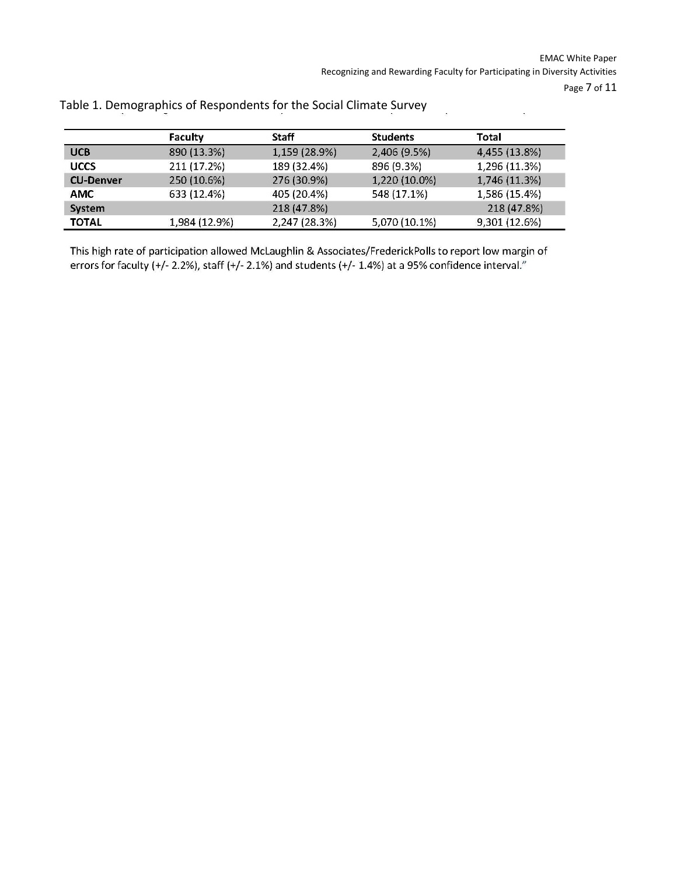$\overline{\mathcal{D}}$ 

 $\mathcal{L}$ 

|                  | Faculty       | Staff         | <b>Students</b> | Total         |
|------------------|---------------|---------------|-----------------|---------------|
| <b>UCB</b>       | 890 (13.3%)   | 1,159 (28.9%) | 2,406 (9.5%)    | 4,455 (13.8%) |
| <b>UCCS</b>      | 211 (17.2%)   | 189 (32.4%)   | 896 (9.3%)      | 1,296 (11.3%) |
| <b>CU-Denver</b> | 250 (10.6%)   | 276 (30.9%)   | 1,220 (10.0%)   | 1,746 (11.3%) |
| <b>AMC</b>       | 633 (12.4%)   | 405 (20.4%)   | 548 (17.1%)     | 1,586 (15.4%) |
| System           |               | 218 (47.8%)   |                 | 218 (47.8%)   |
| <b>TOTAL</b>     | 1,984 (12.9%) | 2,247 (28.3%) | 5,070 (10.1%)   | 9,301 (12.6%) |

Table 1. Demographics of Respondents for the Social Climate Survey

This high rate of participation allowed McLaughlin & Associates/FrederickPolls to report low margin of errors for faculty (+/-2.2%), staff (+/-2.1%) and students (+/-1.4%) at a 95% confidence interval."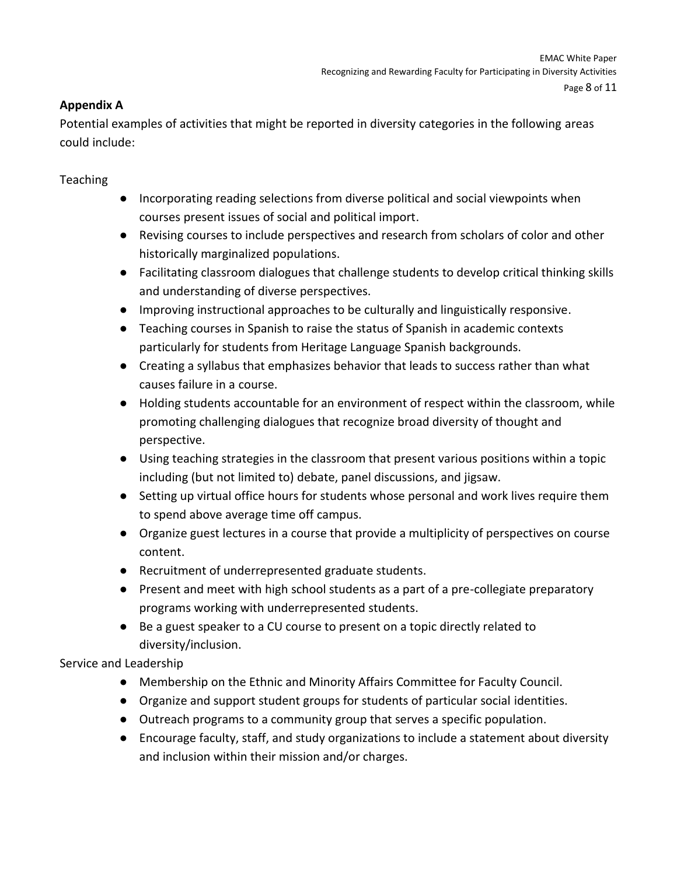## **Appendix A**

Potential examples of activities that might be reported in diversity categories in the following areas could include:

**Teaching** 

- Incorporating reading selections from diverse political and social viewpoints when courses present issues of social and political import.
- Revising courses to include perspectives and research from scholars of color and other historically marginalized populations.
- Facilitating classroom dialogues that challenge students to develop critical thinking skills and understanding of diverse perspectives.
- Improving instructional approaches to be culturally and linguistically responsive.
- Teaching courses in Spanish to raise the status of Spanish in academic contexts particularly for students from Heritage Language Spanish backgrounds.
- Creating a syllabus that emphasizes behavior that leads to success rather than what causes failure in a course.
- Holding students accountable for an environment of respect within the classroom, while promoting challenging dialogues that recognize broad diversity of thought and perspective.
- Using teaching strategies in the classroom that present various positions within a topic including (but not limited to) debate, panel discussions, and jigsaw.
- Setting up virtual office hours for students whose personal and work lives require them to spend above average time off campus.
- Organize guest lectures in a course that provide a multiplicity of perspectives on course content.
- Recruitment of underrepresented graduate students.
- Present and meet with high school students as a part of a pre-collegiate preparatory programs working with underrepresented students.
- Be a guest speaker to a CU course to present on a topic directly related to diversity/inclusion.

Service and Leadership

- Membership on the Ethnic and Minority Affairs Committee for Faculty Council.
- Organize and support student groups for students of particular social identities.
- Outreach programs to a community group that serves a specific population.
- Encourage faculty, staff, and study organizations to include a statement about diversity and inclusion within their mission and/or charges.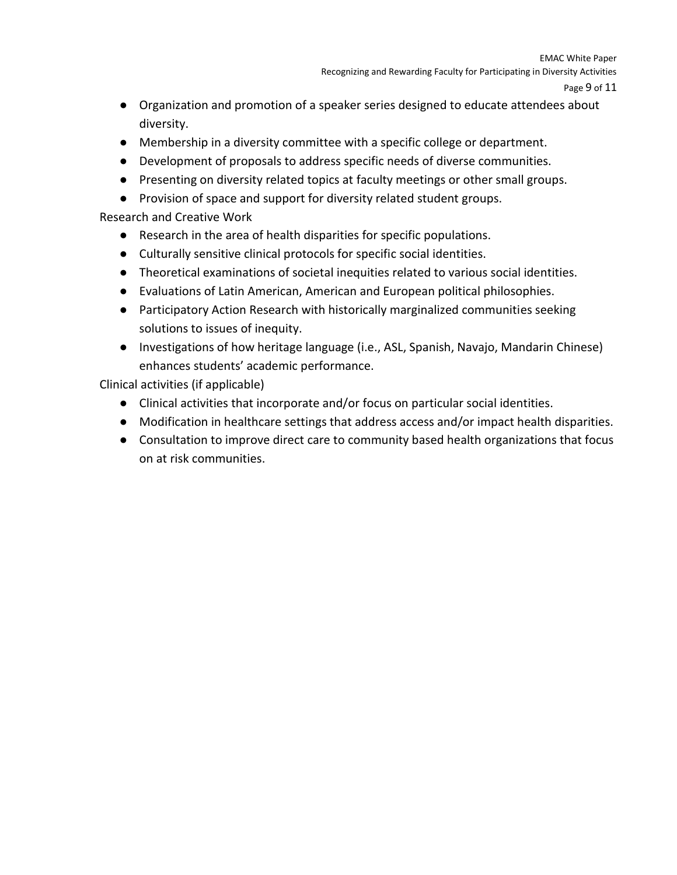- Organization and promotion of a speaker series designed to educate attendees about diversity.
- Membership in a diversity committee with a specific college or department.
- Development of proposals to address specific needs of diverse communities.
- Presenting on diversity related topics at faculty meetings or other small groups.
- Provision of space and support for diversity related student groups.

## Research and Creative Work

- Research in the area of health disparities for specific populations.
- Culturally sensitive clinical protocols for specific social identities.
- Theoretical examinations of societal inequities related to various social identities.
- Evaluations of Latin American, American and European political philosophies.
- Participatory Action Research with historically marginalized communities seeking solutions to issues of inequity.
- Investigations of how heritage language (i.e., ASL, Spanish, Navajo, Mandarin Chinese) enhances students' academic performance.

Clinical activities (if applicable)

- Clinical activities that incorporate and/or focus on particular social identities.
- Modification in healthcare settings that address access and/or impact health disparities.
- Consultation to improve direct care to community based health organizations that focus on at risk communities.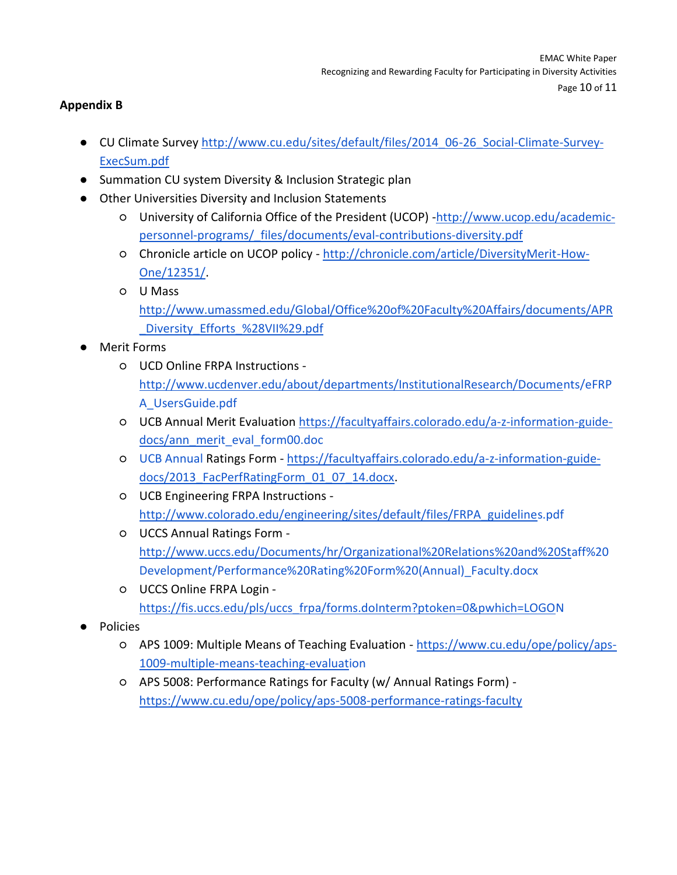## **Appendix B**

- CU Climate Survey [http://www.cu.edu/sites/default/files/2014\\_06-26\\_Social-Climate-Survey-](http://www.cu.edu/sites/default/files/2014_06-26_Social-Climate-Survey-ExecSum.pdf)[ExecSum.pdf](http://www.cu.edu/sites/default/files/2014_06-26_Social-Climate-Survey-ExecSum.pdf)
- Summation CU system Diversity & Inclusion Strategic plan
- Other Universities Diversity and Inclusion Statements
	- University of California Office of the President (UCOP) [-http://www.ucop.edu/academic](http://www.ucop.edu/academic-personnel-programs/_files/documents/eval-contributions-diversity.pdf)[personnel-programs/\\_files/documents/eval-contributions-diversity.pdf](http://www.ucop.edu/academic-personnel-programs/_files/documents/eval-contributions-diversity.pdf)
	- Chronicle article on UCOP policy [-](http://chronicle.com/article/DiversityMerit-How-One/12351/) [http://chronicle.com/article/DiversityMerit-How-](http://chronicle.com/article/DiversityMerit-How-One/12351/)[One/12351/.](http://chronicle.com/article/DiversityMerit-How-One/12351/)
	- U Mass [http://www.umassmed.edu/Global/Office%20of%20Faculty%20Affairs/documents/APR](http://www.umassmed.edu/Global/Office%20of%20Faculty%20Affairs/documents/APR_Diversity_Efforts_%28VII%29.pdf) Diversity Efforts %28VII%29.pdf
- Merit Forms
	- UCD Online FRPA Instructions  [http://www.ucdenver.edu/about/departments/InstitutionalResearch/Documents/eFRP](http://www.ucdenver.edu/about/departments/InstitutionalResearch/Documents/eFRPA_UsersGuide.pdf) [A\\_UsersGuide.pdf](http://www.ucdenver.edu/about/departments/InstitutionalResearch/Documents/eFRPA_UsersGuide.pdf)
	- UCB Annual Merit Evaluation [https://facultyaffairs.colorado.edu/a-z-information-guide](https://facultyaffairs.colorado.edu/a-z-information-guide-docs/ann_merit_eval_form00.doc%20UCB%20Annual)[docs/ann\\_merit\\_eval\\_form00.doc](https://facultyaffairs.colorado.edu/a-z-information-guide-docs/ann_merit_eval_form00.doc%20UCB%20Annual)
	- [UCB Annual](https://facultyaffairs.colorado.edu/a-z-information-guide-docs/ann_merit_eval_form00.doc%20UCB%20Annual) Ratings Form [https://facultyaffairs.colorado.edu/a-z-information-guide](https://mail.cu.edu/owa/redir.aspx?C=qB7pSpfnFkuxKhMStvQ16KTlTqzZ_9EIiNgffworCG0PlbKJtA8TEneLS0Ohjo2goHykq-NYEyI.&URL=https%3a%2f%2ffacultyaffairs.colorado.edu%2fa-z-information-guide-docs%2f2013_FacPerfRatingForm_01_07_14.docx)docs/2013 FacPerfRatingForm 01 07 14.docx.
	- UCB Engineering FRPA Instructions  [http://www.colorado.edu/engineering/sites/default/files/FRPA\\_guidelines.pdf](http://www.colorado.edu/engineering/sites/default/files/FRPA_guidelines.pdf)
	- UCCS Annual Ratings Form [http://www.uccs.edu/Documents/hr/Organizational%20Relations%20and%20Staff%20](http://www.uccs.edu/Documents/hr/Organizational%20Relations%20and%20Staff%20Development/Performance%20Rating%20Form%20(Annual)_Faculty.docx) [Development/Performance%20Rating%20Form%20\(Annual\)\\_Faculty.docx](http://www.uccs.edu/Documents/hr/Organizational%20Relations%20and%20Staff%20Development/Performance%20Rating%20Form%20(Annual)_Faculty.docx)
	- UCCS Online FRPA Login [https://fis.uccs.edu/pls/uccs\\_frpa/forms.doInterm?ptoken=0&pwhich=LOGON](https://fis.uccs.edu/pls/uccs_frpa/forms.doInterm?ptoken=0&pwhich=LOGON)
- Policies
	- APS 1009: Multiple Means of Teaching Evaluation [https://www.cu.edu/ope/policy/aps-](https://www.cu.edu/ope/policy/aps-1009-multiple-means-teaching-evaluation)[1009-multiple-means-teaching-evaluation](https://www.cu.edu/ope/policy/aps-1009-multiple-means-teaching-evaluation)
	- APS 5008: Performance Ratings for Faculty (w/ Annual Ratings Form)  [https://www.cu.edu/ope/policy/aps-5008-performance-ratings-faculty](https://mail.cu.edu/owa/redir.aspx?C=qB7pSpfnFkuxKhMStvQ16KTlTqzZ_9EIiNgffworCG0PlbKJtA8TEneLS0Ohjo2goHykq-NYEyI.&URL=https%3a%2f%2fwww.cu.edu%2fope%2fpolicy%2faps-5008-performance-ratings-faculty)